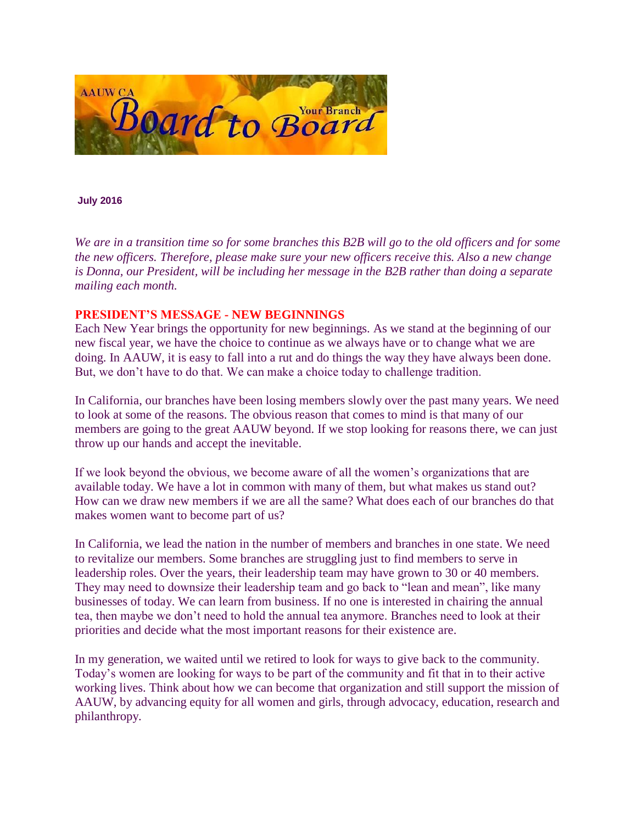

**July 2016**

*We are in a transition time so for some branches this B2B will go to the old officers and for some the new officers. Therefore, please make sure your new officers receive this. Also a new change is Donna, our President, will be including her message in the B2B rather than doing a separate mailing each month.*

### **PRESIDENT'S MESSAGE - NEW BEGINNINGS**

Each New Year brings the opportunity for new beginnings. As we stand at the beginning of our new fiscal year, we have the choice to continue as we always have or to change what we are doing. In AAUW, it is easy to fall into a rut and do things the way they have always been done. But, we don't have to do that. We can make a choice today to challenge tradition.

In California, our branches have been losing members slowly over the past many years. We need to look at some of the reasons. The obvious reason that comes to mind is that many of our members are going to the great AAUW beyond. If we stop looking for reasons there, we can just throw up our hands and accept the inevitable.

If we look beyond the obvious, we become aware of all the women's organizations that are available today. We have a lot in common with many of them, but what makes us stand out? How can we draw new members if we are all the same? What does each of our branches do that makes women want to become part of us?

In California, we lead the nation in the number of members and branches in one state. We need to revitalize our members. Some branches are struggling just to find members to serve in leadership roles. Over the years, their leadership team may have grown to 30 or 40 members. They may need to downsize their leadership team and go back to "lean and mean", like many businesses of today. We can learn from business. If no one is interested in chairing the annual tea, then maybe we don't need to hold the annual tea anymore. Branches need to look at their priorities and decide what the most important reasons for their existence are.

In my generation, we waited until we retired to look for ways to give back to the community. Today's women are looking for ways to be part of the community and fit that in to their active working lives. Think about how we can become that organization and still support the mission of AAUW, by advancing equity for all women and girls, through advocacy, education, research and philanthropy.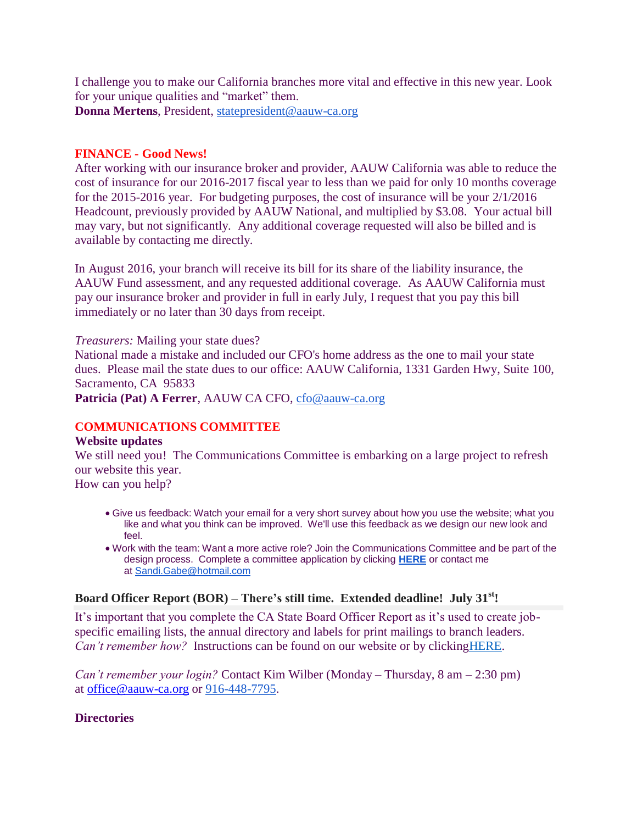I challenge you to make our California branches more vital and effective in this new year. Look for your unique qualities and "market" them. **Donna Mertens**, President, [statepresident@aauw-ca.org](mailto:statepresident@aauw-ca.org)

## **FINANCE - Good News!**

After working with our insurance broker and provider, AAUW California was able to reduce the cost of insurance for our 2016-2017 fiscal year to less than we paid for only 10 months coverage for the 2015-2016 year. For budgeting purposes, the cost of insurance will be your 2/1/2016 Headcount, previously provided by AAUW National, and multiplied by \$3.08. Your actual bill may vary, but not significantly. Any additional coverage requested will also be billed and is available by contacting me directly.

In August 2016, your branch will receive its bill for its share of the liability insurance, the AAUW Fund assessment, and any requested additional coverage. As AAUW California must pay our insurance broker and provider in full in early July, I request that you pay this bill immediately or no later than 30 days from receipt.

### *Treasurers:* Mailing your state dues?

National made a mistake and included our CFO's home address as the one to mail your state dues. Please mail the state dues to our office: AAUW California, 1331 Garden Hwy, Suite 100, Sacramento, CA 95833 **Patricia (Pat) A Ferrer**, AAUW CA CFO, [cfo@aauw-ca.org](mailto:cfo@aauw-ca.org)

# **COMMUNICATIONS COMMITTEE**

### **Website updates**

We still need you! The Communications Committee is embarking on a large project to refresh our website this year.

How can you help?

- Give us feedback: Watch your email for a very short survey about how you use the website; what you like and what you think can be improved. We'll use this feedback as we design our new look and feel.
- Work with the team: Want a more active role? Join the Communications Committee and be part of the design process. Complete a committee application by clicking **[HERE](http://aauw-ca.org/Assets/resources/AAUWCACommitteeVitaForm.pdf)** or contact me at [Sandi.Gabe@hotmail.com](mailto:Sandi.Gabe@hotmail.com.)

### **Board Officer Report (BOR) – There's still time. Extended deadline! July 31st!**

It's important that you complete the CA State Board Officer Report as it's used to create jobspecific emailing lists, the annual directory and labels for print mailings to branch leaders. *Can't remember how?* Instructions can be found on our website or by clicking HERE.

*Can't remember your login?* Contact Kim Wilber (Monday – Thursday, 8 am – 2:30 pm) at [office@aauw-ca.org](mailto:office@aauw-ca.org) or [916-448-7795.](tel:916-448-7795)

### **Directories**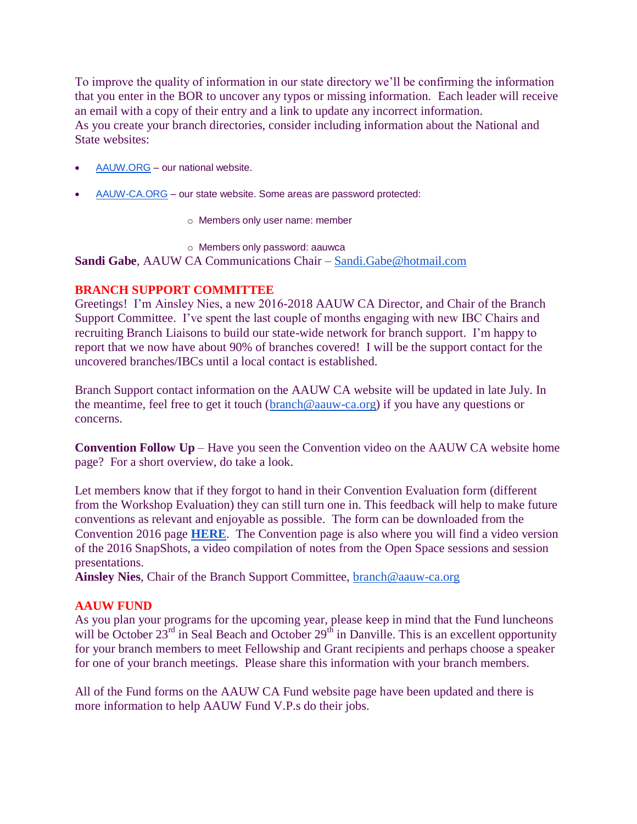To improve the quality of information in our state directory we'll be confirming the information that you enter in the BOR to uncover any typos or missing information. Each leader will receive an email with a copy of their entry and a link to update any incorrect information. As you create your branch directories, consider including information about the National and State websites:

- [AAUW.ORG](http://aauw.org/) our national website.
- [AAUW-CA.ORG](http://aauw-ca.org/) our state website. Some areas are password protected:
	- o Members only user name: member

o Members only password: aauwca

**Sandi Gabe**, AAUW CA Communications Chair – [Sandi.Gabe@hotmail.com](mailto:Sandi.Gabe@hotmail.com)

## **BRANCH SUPPORT COMMITTEE**

Greetings! I'm Ainsley Nies, a new 2016-2018 AAUW CA Director, and Chair of the Branch Support Committee. I've spent the last couple of months engaging with new IBC Chairs and recruiting Branch Liaisons to build our state-wide network for branch support. I'm happy to report that we now have about 90% of branches covered! I will be the support contact for the uncovered branches/IBCs until a local contact is established.

Branch Support contact information on the AAUW CA website will be updated in late July. In the meantime, feel free to get it touch [\(branch@aauw-ca.org\)](mailto:branch@aauw-ca.org) if you have any questions or concerns.

**Convention Follow Up** – Have you seen the Convention video on the AAUW CA website home page? For a short overview, do take a look.

Let members know that if they forgot to hand in their Convention Evaluation form (different from the Workshop Evaluation) they can still turn one in. This feedback will help to make future conventions as relevant and enjoyable as possible. The form can be downloaded from the Convention 2016 page **[HERE](http://www.aauw-ca.org/index.cfm?go=pages.view&parent=462&pagesid=462)**. The Convention page is also where you will find a video version of the 2016 SnapShots, a video compilation of notes from the Open Space sessions and session presentations.

**Ainsley Nies**, Chair of the Branch Support Committee, [branch@aauw-ca.org](mailto:branch@aauw-ca.org)

### **AAUW FUND**

As you plan your programs for the upcoming year, please keep in mind that the Fund luncheons will be October  $23<sup>rd</sup>$  in Seal Beach and October  $29<sup>th</sup>$  in Danville. This is an excellent opportunity for your branch members to meet Fellowship and Grant recipients and perhaps choose a speaker for one of your branch meetings. Please share this information with your branch members.

All of the Fund forms on the AAUW CA Fund website page have been updated and there is more information to help AAUW Fund V.P.s do their jobs.